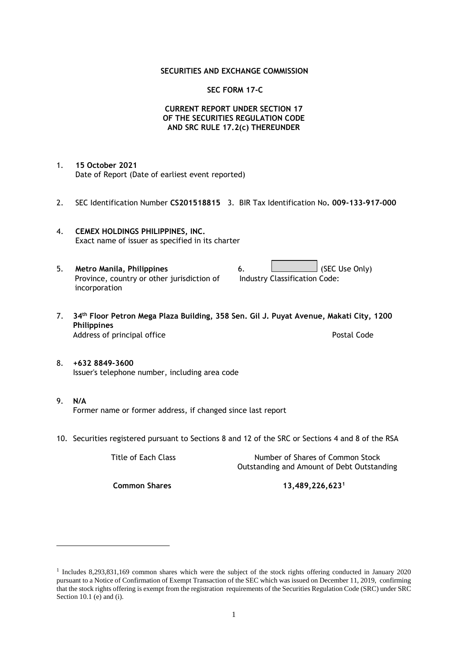#### **SECURITIES AND EXCHANGE COMMISSION**

#### **SEC FORM 17-C**

### **CURRENT REPORT UNDER SECTION 17 OF THE SECURITIES REGULATION CODE AND SRC RULE 17.2(c) THEREUNDER**

- 1. **15 October 2021** Date of Report (Date of earliest event reported)
- 2. SEC Identification Number **CS201518815** 3. BIR Tax Identification No**. 009-133-917-000**
- 4. **CEMEX HOLDINGS PHILIPPINES, INC.** Exact name of issuer as specified in its charter
- 5. **Metro Manila, Philippines** 6. **Consumers 6.** (SEC Use Only) Province, country or other jurisdiction of incorporation Industry Classification Code:
- 7. **34th Floor Petron Mega Plaza Building, 358 Sen. Gil J. Puyat Avenue, Makati City, 1200 Philippines** Address of principal office **Postal Code** Postal Code
- 8. **+632 8849-3600** Issuer's telephone number, including area code
- 9. **N/A** Former name or former address, if changed since last report
- 10. Securities registered pursuant to Sections 8 and 12 of the SRC or Sections 4 and 8 of the RSA

Title of Each Class Number of Shares of Common Stock Outstanding and Amount of Debt Outstanding

**Common Shares 13,489,226,623<sup>1</sup>**

<sup>1</sup> Includes 8,293,831,169 common shares which were the subject of the stock rights offering conducted in January 2020 pursuant to a Notice of Confirmation of Exempt Transaction of the SEC which was issued on December 11, 2019, confirming that the stock rights offering is exempt from the registration requirements of the Securities Regulation Code (SRC) under SRC Section 10.1 (e) and (i).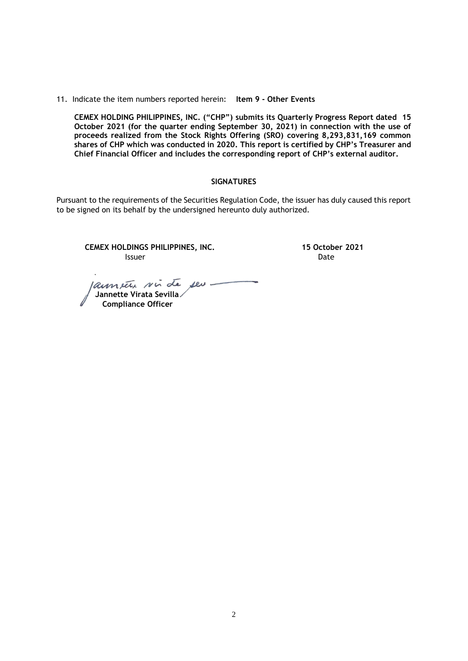11. Indicate the item numbers reported herein: **Item 9 - Other Events**

**CEMEX HOLDING PHILIPPINES, INC. ("CHP") submits its Quarterly Progress Report dated 15 October 2021 (for the quarter ending September 30, 2021) in connection with the use of proceeds realized from the Stock Rights Offering (SRO) covering 8,293,831,169 common shares of CHP which was conducted in 2020. This report is certified by CHP's Treasurer and Chief Financial Officer and includes the corresponding report of CHP's external auditor.** 

#### **SIGNATURES**

Pursuant to the requirements of the Securities Regulation Code, the issuer has duly caused this report to be signed on its behalf by the undersigned hereunto duly authorized.

**CEMEX HOLDINGS PHILIPPINES, INC. 15 October 2021 Issuer Date** 

annete sin de ses  **Jannette Virata Sevilla Compliance Officer**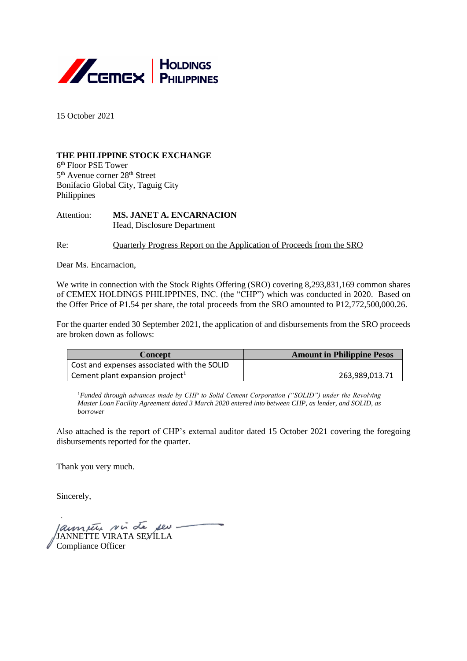

15 October 2021

# **THE PHILIPPINE STOCK EXCHANGE**

6 th Floor PSE Tower 5<sup>th</sup> Avenue corner 28<sup>th</sup> Street Bonifacio Global City, Taguig City Philippines

Attention: **MS. JANET A. ENCARNACION** Head, Disclosure Department

Re: Quarterly Progress Report on the Application of Proceeds from the SRO

Dear Ms. Encarnacion,

We write in connection with the Stock Rights Offering (SRO) covering 8,293,831,169 common shares of CEMEX HOLDINGS PHILIPPINES, INC. (the "CHP") which was conducted in 2020. Based on the Offer Price of P1.54 per share, the total proceeds from the SRO amounted to P12,772,500,000.26.

For the quarter ended 30 September 2021, the application of and disbursements from the SRO proceeds are broken down as follows:

| Concept                                     | <b>Amount in Philippine Pesos</b> |
|---------------------------------------------|-----------------------------------|
| Cost and expenses associated with the SOLID |                                   |
| Cement plant expansion project <sup>1</sup> | 263,989,013.71                    |

<sup>1</sup>Funded through advances made by CHP to Solid Cement Corporation ("SOLID") under the Revolving *Master Loan Facility Agreement dated 3 March 2020 entered into between CHP, as lender, and SOLID, as borrower*

Also attached is the report of CHP's external auditor dated 15 October 2021 covering the foregoing disbursements reported for the quarter.

Thank you very much.

Sincerely,

*Jaun seu ni de seu* Compliance Officer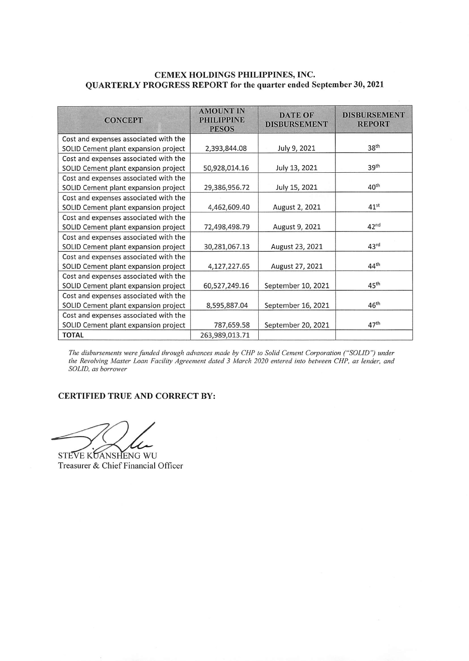# CEMEX HOLDINGS PHILIPPINES, INC. QUARTERLY PROGRESS REPORT for the quarter ended September 30, 2021

| <b>CONCEPT</b>                        | <b>AMOUNT IN</b><br><b>PHILIPPINE</b><br><b>PESOS</b> | <b>DATE OF</b><br><b>DISBURSEMENT</b> | <b>DISBURSEMENT</b><br><b>REPORT</b> |  |
|---------------------------------------|-------------------------------------------------------|---------------------------------------|--------------------------------------|--|
| Cost and expenses associated with the |                                                       |                                       |                                      |  |
| SOLID Cement plant expansion project  | 2,393,844.08                                          | July 9, 2021                          | 38 <sup>th</sup>                     |  |
| Cost and expenses associated with the |                                                       |                                       |                                      |  |
| SOLID Cement plant expansion project  | 50,928,014.16                                         | July 13, 2021                         | 39 <sup>th</sup>                     |  |
| Cost and expenses associated with the |                                                       |                                       |                                      |  |
| SOLID Cement plant expansion project  | 29,386,956.72                                         | July 15, 2021                         | 40 <sup>th</sup>                     |  |
| Cost and expenses associated with the |                                                       |                                       |                                      |  |
| SOLID Cement plant expansion project  | 4,462,609.40                                          | August 2, 2021                        | $41^{st}$                            |  |
| Cost and expenses associated with the |                                                       |                                       |                                      |  |
| SOLID Cement plant expansion project  | 72,498,498.79                                         | August 9, 2021                        | 42 <sup>nd</sup>                     |  |
| Cost and expenses associated with the |                                                       |                                       |                                      |  |
| SOLID Cement plant expansion project  | 30,281,067.13                                         | August 23, 2021                       | 43 <sup>rd</sup>                     |  |
| Cost and expenses associated with the |                                                       |                                       |                                      |  |
| SOLID Cement plant expansion project  | 4,127,227.65                                          | August 27, 2021                       | 44 <sup>th</sup>                     |  |
| Cost and expenses associated with the |                                                       |                                       |                                      |  |
| SOLID Cement plant expansion project  | 60,527,249.16                                         | September 10, 2021                    | 45 <sup>th</sup>                     |  |
| Cost and expenses associated with the |                                                       |                                       |                                      |  |
| SOLID Cement plant expansion project  | 8,595,887.04                                          | September 16, 2021                    | 46 <sup>th</sup>                     |  |
| Cost and expenses associated with the |                                                       |                                       |                                      |  |
| SOLID Cement plant expansion project  | 787,659.58                                            | September 20, 2021                    | 47 <sup>th</sup>                     |  |
| <b>TOTAL</b>                          | 263,989,013.71                                        |                                       |                                      |  |

The disbursements were funded through advances made by CHP to Solid Cement Corporation ("SOLID") under<br>the Revolving Master Loan Facility Agreement dated 3 March 2020 entered into between CHP, as lender, and SOLID, as borrower

# CERTIFIED TRUE AND CORRECT BY:

STEVE KUANSHENG WU Treasurer & Chief Financial Officer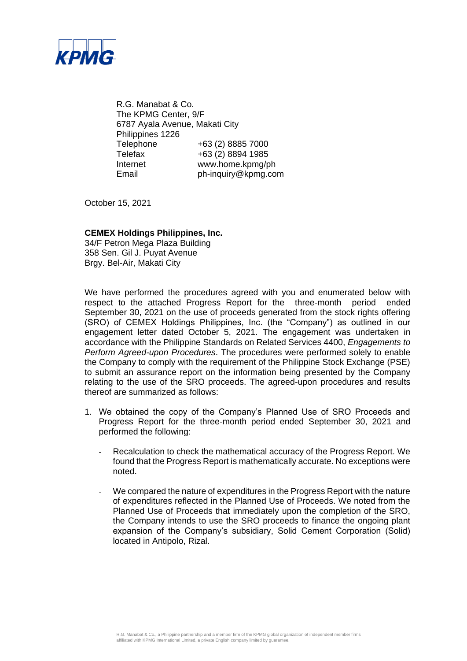

R.G. Manabat & Co. The KPMG Center, 9/F 6787 Ayala Avenue, Makati City Philippines 1226 Telephone +63 (2) 8885 7000 Telefax +63 (2) 8894 1985 Internet www.home.kpmg/ph Email ph-inquiry@kpmg.com

October 15, 2021

## **CEMEX Holdings Philippines, Inc.**

34/F Petron Mega Plaza Building 358 Sen. Gil J. Puyat Avenue Brgy. Bel-Air, Makati City

We have performed the procedures agreed with you and enumerated below with respect to the attached Progress Report for the three-month period ended September 30, 2021 on the use of proceeds generated from the stock rights offering (SRO) of CEMEX Holdings Philippines, Inc. (the "Company") as outlined in our engagement letter dated October 5, 2021. The engagement was undertaken in accordance with the Philippine Standards on Related Services 4400, *Engagements to Perform Agreed-upon Procedures*. The procedures were performed solely to enable the Company to comply with the requirement of the Philippine Stock Exchange (PSE) to submit an assurance report on the information being presented by the Company relating to the use of the SRO proceeds. The agreed-upon procedures and results thereof are summarized as follows:

- 1. We obtained the copy of the Company's Planned Use of SRO Proceeds and Progress Report for the three-month period ended September 30, 2021 and performed the following:
	- Recalculation to check the mathematical accuracy of the Progress Report. We found that the Progress Report is mathematically accurate. No exceptions were noted.
	- We compared the nature of expenditures in the Progress Report with the nature of expenditures reflected in the Planned Use of Proceeds. We noted from the Planned Use of Proceeds that immediately upon the completion of the SRO, the Company intends to use the SRO proceeds to finance the ongoing plant expansion of the Company's subsidiary, Solid Cement Corporation (Solid) located in Antipolo, Rizal.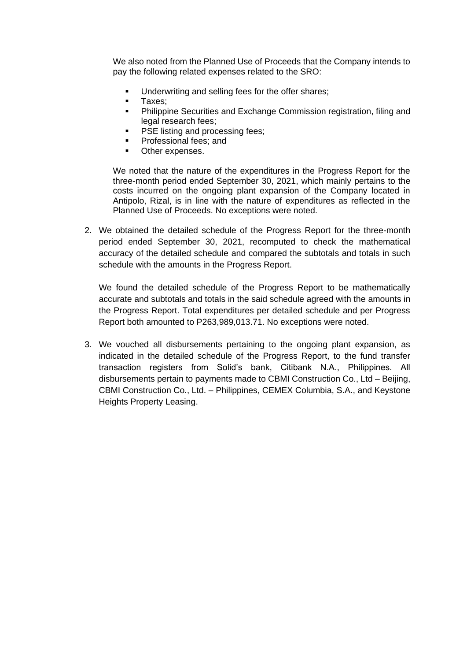We also noted from the Planned Use of Proceeds that the Company intends to pay the following related expenses related to the SRO:

- Underwriting and selling fees for the offer shares:
- Taxes;
- **•** Philippine Securities and Exchange Commission registration, filing and legal research fees;
- PSE listing and processing fees;
- Professional fees; and
- Other expenses.

We noted that the nature of the expenditures in the Progress Report for the three-month period ended September 30, 2021, which mainly pertains to the costs incurred on the ongoing plant expansion of the Company located in Antipolo, Rizal, is in line with the nature of expenditures as reflected in the Planned Use of Proceeds. No exceptions were noted.

2. We obtained the detailed schedule of the Progress Report for the three-month period ended September 30, 2021, recomputed to check the mathematical accuracy of the detailed schedule and compared the subtotals and totals in such schedule with the amounts in the Progress Report.

We found the detailed schedule of the Progress Report to be mathematically accurate and subtotals and totals in the said schedule agreed with the amounts in the Progress Report. Total expenditures per detailed schedule and per Progress Report both amounted to P263,989,013.71. No exceptions were noted.

3. We vouched all disbursements pertaining to the ongoing plant expansion, as indicated in the detailed schedule of the Progress Report, to the fund transfer transaction registers from Solid's bank, Citibank N.A., Philippines. All disbursements pertain to payments made to CBMI Construction Co., Ltd – Beijing, CBMI Construction Co., Ltd. – Philippines, CEMEX Columbia, S.A., and Keystone Heights Property Leasing.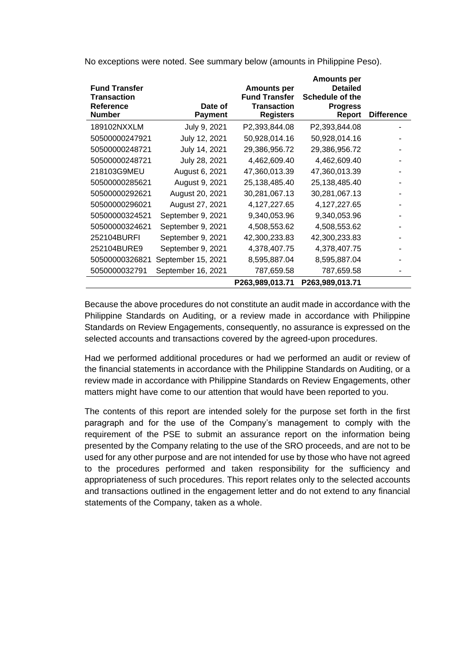| <b>Fund Transfer</b><br><b>Transaction</b><br><b>Reference</b><br><b>Number</b> | Date of<br><b>Payment</b> | <b>Amounts per</b><br><b>Fund Transfer</b><br><b>Transaction</b><br><b>Registers</b> | <b>Amounts per</b><br><b>Detailed</b><br>Schedule of the<br><b>Progress</b><br>Report | <b>Difference</b> |
|---------------------------------------------------------------------------------|---------------------------|--------------------------------------------------------------------------------------|---------------------------------------------------------------------------------------|-------------------|
| 189102NXXLM                                                                     | July 9, 2021              | P2,393,844.08                                                                        | P2,393,844.08                                                                         |                   |
| 50500000247921                                                                  | July 12, 2021             | 50,928,014.16                                                                        | 50,928,014.16                                                                         |                   |
| 50500000248721                                                                  | July 14, 2021             | 29,386,956.72                                                                        | 29,386,956.72                                                                         |                   |
| 50500000248721                                                                  | July 28, 2021             | 4,462,609.40                                                                         | 4,462,609.40                                                                          |                   |
| 218103G9MEU                                                                     | August 6, 2021            | 47,360,013.39                                                                        | 47,360,013.39                                                                         |                   |
| 50500000285621                                                                  | August 9, 2021            | 25,138,485.40                                                                        | 25, 138, 485. 40                                                                      |                   |
| 50500000292621                                                                  | August 20, 2021           | 30,281,067.13                                                                        | 30,281,067.13                                                                         |                   |
| 50500000296021                                                                  | August 27, 2021           | 4,127,227.65                                                                         | 4,127,227.65                                                                          |                   |
| 50500000324521                                                                  | September 9, 2021         | 9,340,053.96                                                                         | 9,340,053.96                                                                          |                   |
| 50500000324621                                                                  | September 9, 2021         | 4,508,553.62                                                                         | 4,508,553.62                                                                          |                   |
| 252104BURFI                                                                     | September 9, 2021         | 42,300,233.83                                                                        | 42,300,233.83                                                                         |                   |
| 252104BURE9                                                                     | September 9, 2021         | 4,378,407.75                                                                         | 4,378,407.75                                                                          |                   |
| 50500000326821                                                                  | September 15, 2021        | 8,595,887.04                                                                         | 8,595,887.04                                                                          |                   |
| 5050000032791                                                                   | September 16, 2021        | 787,659.58                                                                           | 787,659.58                                                                            |                   |
|                                                                                 |                           | P263,989,013.71                                                                      | P263,989,013.71                                                                       |                   |

No exceptions were noted. See summary below (amounts in Philippine Peso).

Because the above procedures do not constitute an audit made in accordance with the Philippine Standards on Auditing, or a review made in accordance with Philippine Standards on Review Engagements, consequently, no assurance is expressed on the selected accounts and transactions covered by the agreed-upon procedures.

Had we performed additional procedures or had we performed an audit or review of the financial statements in accordance with the Philippine Standards on Auditing, or a review made in accordance with Philippine Standards on Review Engagements, other matters might have come to our attention that would have been reported to you.

The contents of this report are intended solely for the purpose set forth in the first paragraph and for the use of the Company's management to comply with the requirement of the PSE to submit an assurance report on the information being presented by the Company relating to the use of the SRO proceeds, and are not to be used for any other purpose and are not intended for use by those who have not agreed to the procedures performed and taken responsibility for the sufficiency and appropriateness of such procedures. This report relates only to the selected accounts and transactions outlined in the engagement letter and do not extend to any financial statements of the Company, taken as a whole.